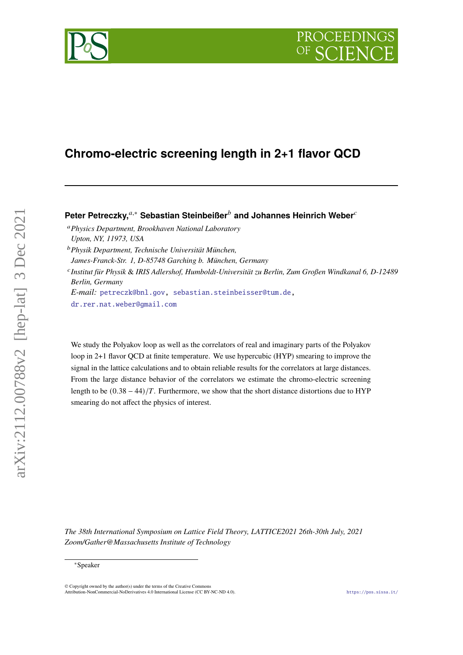# **Chromo-electric screening length in 2+1 flavor QCD**

Peter Petreczky,<sup>*a*,∗</sup> Sebastian Steinbeißer<sup>*b*</sup> and Johannes Heinrich Weber<sup>*c*</sup>

- *Physics Department, Brookhaven National Laboratory Upton, NY, 11973, USA*
- *Physik Department, Technische Universität München,*

*James-Franck-Str. 1, D-85748 Garching b. München, Germany*

 *Institut für Physik* & *IRIS Adlershof, Humboldt-Universität zu Berlin, Zum Großen Windkanal 6, D-12489 Berlin, Germany*

*E-mail:* [petreczk@bnl.gov,](mailto:petreczk@bnl.gov) [sebastian.steinbeisser@tum.de,](mailto:sebastian.steinbeisser@tum.de)

[dr.rer.nat.weber@gmail.com](mailto:dr.rer.nat.weber@gmail.com)

We study the Polyakov loop as well as the correlators of real and imaginary parts of the Polyakov loop in 2+1 flavor QCD at finite temperature. We use hypercubic (HYP) smearing to improve the signal in the lattice calculations and to obtain reliable results for the correlators at large distances. From the large distance behavior of the correlators we estimate the chromo-electric screening length to be  $(0.38 - 44)/T$ . Furthermore, we show that the short distance distortions due to HYP smearing do not affect the physics of interest.

*The 38th International Symposium on Lattice Field Theory, LATTICE2021 26th-30th July, 2021 Zoom/Gather@Massachusetts Institute of Technology*



<sup>∗</sup>Speaker

 $\odot$  Copyright owned by the author(s) under the terms of the Creative Common Attribution-NonCommercial-NoDerivatives 4.0 International License (CC BY-NC-ND 4.0). <https://pos.sissa.it/>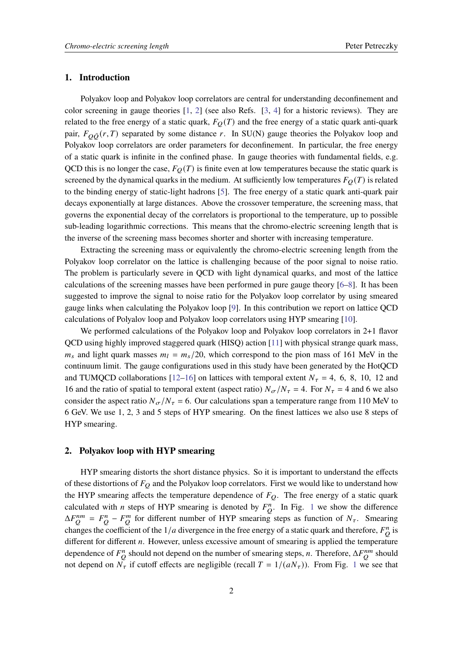## **1. Introduction**

Polyakov loop and Polyakov loop correlators are central for understanding deconfinement and color screening in gauge theories [\[1,](#page-5-0) [2\]](#page-6-0) (see also Refs. [\[3,](#page-6-1) [4\]](#page-6-2) for a historic reviews). They are related to the free energy of a static quark,  $F_Q(T)$  and the free energy of a static quark anti-quark pair,  $F_{\Omega \bar{O}}(r, T)$  separated by some distance r. In SU(N) gauge theories the Polyakov loop and Polyakov loop correlators are order parameters for deconfinement. In particular, the free energy of a static quark is infinite in the confined phase. In gauge theories with fundamental fields, e.g. QCD this is no longer the case,  $F_Q(T)$  is finite even at low temperatures because the static quark is screened by the dynamical quarks in the medium. At sufficiently low temperatures  $F_Q(T)$  is related to the binding energy of static-light hadrons [\[5\]](#page-6-3). The free energy of a static quark anti-quark pair decays exponentially at large distances. Above the crossover temperature, the screening mass, that governs the exponential decay of the correlators is proportional to the temperature, up to possible sub-leading logarithmic corrections. This means that the chromo-electric screening length that is the inverse of the screening mass becomes shorter and shorter with increasing temperature.

Extracting the screening mass or equivalently the chromo-electric screening length from the Polyakov loop correlator on the lattice is challenging because of the poor signal to noise ratio. The problem is particularly severe in QCD with light dynamical quarks, and most of the lattice calculations of the screening masses have been performed in pure gauge theory [\[6](#page-6-4)[–8\]](#page-6-5). It has been suggested to improve the signal to noise ratio for the Polyakov loop correlator by using smeared gauge links when calculating the Polyakov loop [\[9\]](#page-6-6). In this contribution we report on lattice QCD calculations of Polyalov loop and Polyakov loop correlators using HYP smearing [\[10\]](#page-6-7).

We performed calculations of the Polyakov loop and Polyakov loop correlators in 2+1 flavor QCD using highly improved staggered quark (HISQ) action [\[11\]](#page-6-8) with physical strange quark mass,  $m_s$  and light quark masses  $m_l = m_s/20$ , which correspond to the pion mass of 161 MeV in the continuum limit. The gauge configurations used in this study have been generated by the HotQCD and TUMQCD collaborations [\[12](#page-6-9)[–16\]](#page-6-10) on lattices with temporal extent  $N_{\tau} = 4, 6, 8, 10, 12$  and 16 and the ratio of spatial to temporal extent (aspect ratio)  $N_{\sigma}/N_{\tau} = 4$ . For  $N_{\tau} = 4$  and 6 we also consider the aspect ratio  $N_{\sigma}/N_{\tau} = 6$ . Our calculations span a temperature range from 110 MeV to 6 GeV. We use 1, 2, 3 and 5 steps of HYP smearing. On the finest lattices we also use 8 steps of HYP smearing.

## **2. Polyakov loop with HYP smearing**

HYP smearing distorts the short distance physics. So it is important to understand the effects of these distortions of  $F_Q$  and the Polyakov loop correlators. First we would like to understand how the HYP smearing affects the temperature dependence of  $F_Q$ . The free energy of a static quark calculated with *n* steps of HYP smearing is denoted by  $F_Q^n$ . In Fig. [1](#page-2-0) we show the difference  $\Delta F_{O}^{nm} = F_{O}^{n} - F_{O}^{m}$  for different number of HYP smearing steps as function of  $N_{\tau}$ . Smearing changes the coefficient of the  $1/a$  divergence in the free energy of a static quark and therefore,  $F_Q^n$  is different for different  $n$ . However, unless excessive amount of smearing is applied the temperature dependence of  $F_Q^n$  should not depend on the number of smearing steps, *n*. Therefore,  $\Delta F_Q^{nm}$  should not depend on  $N_{\tau}$  if cutoff effects are negligible (recall  $T = 1/(aN_{\tau})$  $T = 1/(aN_{\tau})$  $T = 1/(aN_{\tau})$ ). From Fig. 1 we see that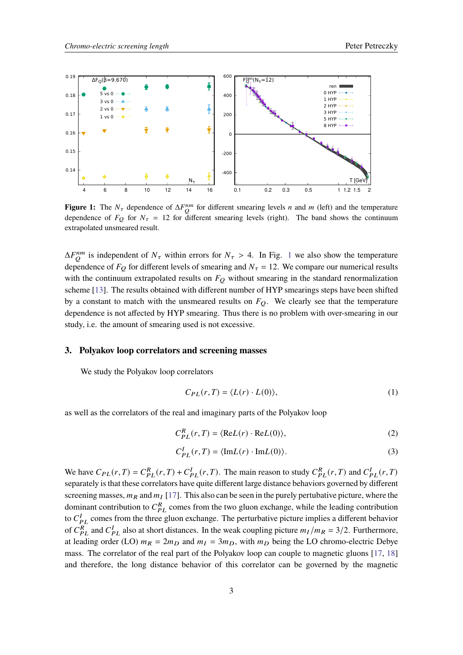<span id="page-2-0"></span>

**Figure 1:** The  $N_{\tau}$  dependence of  $\Delta F_0^{nm}$  for different smearing levels *n* and *m* (left) and the temperature dependence of  $F_{\Omega}$  for  $N_{\tau} = 12$  for different smearing levels (right). The band shows the continuum extrapolated unsmeared result.

 $\Delta F_{O}^{nm}$  is independent of  $N_{\tau}$  within errors for  $N_{\tau} > 4$ . In Fig. [1](#page-2-0) we also show the temperature dependence of  $F_Q$  for different levels of smearing and  $N_{\tau} = 12$ . We compare our numerical results with the continuum extrapolated results on  $F<sub>O</sub>$  without smearing in the standard renormalization scheme [\[13\]](#page-6-11). The results obtained with different number of HYP smearings steps have been shifted by a constant to match with the unsmeared results on  $F<sub>O</sub>$ . We clearly see that the temperature dependence is not affected by HYP smearing. Thus there is no problem with over-smearing in our study, i.e. the amount of smearing used is not excessive.

#### **3. Polyakov loop correlators and screening masses**

We study the Polyakov loop correlators

$$
C_{PL}(r,T) = \langle L(r) \cdot L(0) \rangle, \tag{1}
$$

as well as the correlators of the real and imaginary parts of the Polyakov loop

$$
C_{PL}^{R}(r,T) = \langle \text{Re}L(r) \cdot \text{Re}L(0) \rangle, \tag{2}
$$

$$
C_{PL}^I(r,T) = \langle \text{Im} L(r) \cdot \text{Im} L(0) \rangle. \tag{3}
$$

We have  $C_{PL}(r, T) = C_{PL}^R(r, T) + C_{PL}^I(r, T)$ . The main reason to study  $C_{PL}^R(r, T)$  and  $C_{PL}^I(r, T)$ separately is that these correlators have quite different large distance behaviors governed by different screening masses,  $m_R$  and  $m_I$  [\[17\]](#page-7-0). This also can be seen in the purely pertubative picture, where the dominant contribution to  $C_{PL}^R$  comes from the two gluon exchange, while the leading contribution to  $C_{PL}^I$  comes from the three gluon exchange. The perturbative picture implies a different behavior of  $C_{PL}^{R}$  and  $C_{PL}^{I}$  also at short distances. In the weak coupling picture  $m_I/m_R = 3/2$ . Furthermore, at leading order (LO)  $m_R = 2m_D$  and  $m_I = 3m_D$ , with  $m_D$  being the LO chromo-electric Debye mass. The correlator of the real part of the Polyakov loop can couple to magnetic gluons [\[17,](#page-7-0) [18\]](#page-7-1) and therefore, the long distance behavior of this correlator can be governed by the magnetic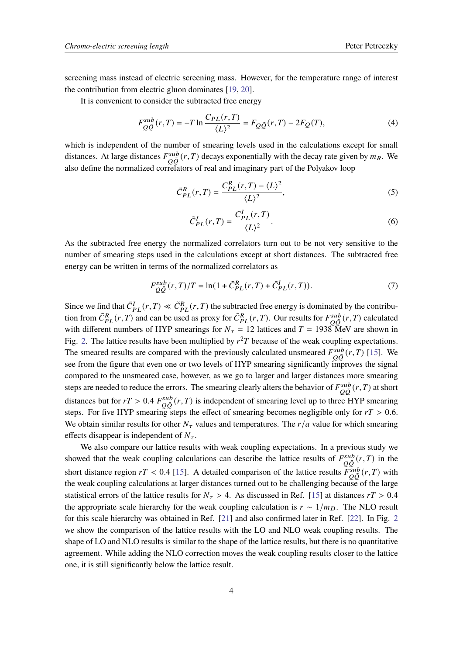screening mass instead of electric screening mass. However, for the temperature range of interest the contribution from electric gluon dominates [\[19,](#page-7-2) [20\]](#page-7-3).

It is convenient to consider the subtracted free energy

$$
F_{Q\bar{Q}}^{sub}(r,T) = -T \ln \frac{C_{PL}(r,T)}{\langle L \rangle^2} = F_{Q\bar{Q}}(r,T) - 2F_Q(T),
$$
\n(4)

which is independent of the number of smearing levels used in the calculations except for small distances. At large distances  $F_{\overline{O}\overline{O}}^{sub}(r,T)$  decays exponentially with the decay rate given by  $m_R$ . We also define the normalized correlators of real and imaginary part of the Polyakov loop

$$
\tilde{C}_{PL}^{R}(r,T) = \frac{C_{PL}^{R}(r,T) - \langle L \rangle^2}{\langle L \rangle^2},\tag{5}
$$

$$
\tilde{C}_{PL}^I(r,T) = \frac{C_{PL}^I(r,T)}{\langle L \rangle^2}.
$$
\n
$$
(6)
$$

As the subtracted free energy the normalized correlators turn out to be not very sensitive to the number of smearing steps used in the calculations except at short distances. The subtracted free energy can be written in terms of the normalized correlators as

$$
F_{O\bar{O}}^{sub}(r,T)/T = \ln(1 + \tilde{C}_{PL}^{R}(r,T) + \tilde{C}_{PL}^{I}(r,T)).
$$
\n(7)

Since we find that  $\tilde{C}_{PL}^I(r,T) \ll \tilde{C}_{PL}^R(r,T)$  the subtracted free energy is dominated by the contribution from  $\tilde{C}_{PL}^R(r,T)$  and can be used as proxy for  $\tilde{C}_{PL}^R(r,T)$ . Our results for  $F_{\tilde{O}\tilde{O}}^{sub}(r,T)$  calculated with different numbers of HYP smearings for  $N_{\tau} = 12$  lattices and  $T = 1938$  MeV are shown in Fig. [2.](#page-4-0) The lattice results have been multiplied by  $r^2T$  because of the weak coupling expectations. The smeared results are compared with the previously calculated unsmeared  $F_{\tilde{O}\tilde{O}}^{sub}(r,T)$  [\[15\]](#page-6-12). We see from the figure that even one or two levels of HYP smearing significantly improves the signal compared to the unsmeared case, however, as we go to larger and larger distances more smearing steps are needed to reduce the errors. The smearing clearly alters the behavior of  $F_{O\bar{O}}^{sub}(r,T)$  at short distances but for  $rT > 0.4 F_{\overline{O}\overline{O}}^{sub}(r,T)$  is independent of smearing level up to three HYP smearing steps. For five HYP smearing steps the effect of smearing becomes negligible only for  $rT > 0.6$ . We obtain similar results for other  $N_{\tau}$  values and temperatures. The  $r/a$  value for which smearing effects disappear is independent of  $N_{\tau}$ .

We also compare our lattice results with weak coupling expectations. In a previous study we showed that the weak coupling calculations can describe the lattice results of  $F_{\overline{O}\overline{O}}^{sub}(r,T)$  in the short distance region  $rT < 0.4$  [\[15\]](#page-6-12). A detailed comparison of the lattice results  $\frac{\epsilon_{sub}}{P_{00}^{sub}}(r,T)$  with the weak coupling calculations at larger distances turned out to be challenging because of the large statistical errors of the lattice results for  $N_\tau > 4$ . As discussed in Ref. [\[15\]](#page-6-12) at distances  $rT > 0.4$ the appropriate scale hierarchy for the weak coupling calculation is  $r \sim 1/m_D$ . The NLO result for this scale hierarchy was obtained in Ref. [\[21\]](#page-7-4) and also confirmed later in Ref. [\[22\]](#page-7-5). In Fig. [2](#page-4-0) we show the comparison of the lattice results with the LO and NLO weak coupling results. The shape of LO and NLO results is similar to the shape of the lattice results, but there is no quantitative agreement. While adding the NLO correction moves the weak coupling results closer to the lattice one, it is still significantly below the lattice result.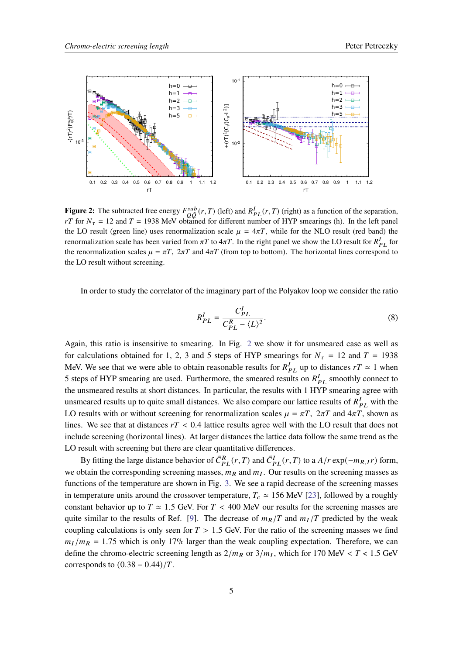<span id="page-4-0"></span>

**Figure 2:** The subtracted free energy  $F_{O\bar{O}}^{sub}(r, T)$  (left) and  $R_{PL}^I(r, T)$  (right) as a function of the separation, rT for  $N_{\tau} = 12$  and  $T = 1938$  MeV obtained for different number of HYP smearings (h). In the left panel the LO result (green line) uses renormalization scale  $\mu = 4\pi T$ , while for the NLO result (red band) the renormalization scale has been varied from  $\pi T$  to  $4\pi T$ . In the right panel we show the LO result for  $R_{PL}^I$  for the renormalization scales  $\mu = \pi T$ ,  $2\pi T$  and  $4\pi T$  (from top to bottom). The horizontal lines correspond to the LO result without screening.

In order to study the correlator of the imaginary part of the Polyakov loop we consider the ratio

$$
R_{PL}^I = \frac{C_{PL}^I}{C_{PL}^R - \langle L \rangle^2}.
$$
\n(8)

Again, this ratio is insensitive to smearing. In Fig. [2](#page-4-0) we show it for unsmeared case as well as for calculations obtained for 1, 2, 3 and 5 steps of HYP smearings for  $N<sub>\tau</sub> = 12$  and  $T = 1938$ MeV. We see that we were able to obtain reasonable results for  $R_{PL}^I$  up to distances  $rT \approx 1$  when 5 steps of HYP smearing are used. Furthermore, the smeared results on  $R_{PL}^I$  smoothly connect to the unsmeared results at short distances. In particular, the results with 1 HYP smearing agree with unsmeared results up to quite small distances. We also compare our lattice results of  $R_{PL}^I$  with the LO results with or without screening for renormalization scales  $\mu = \pi T$ ,  $2\pi T$  and  $4\pi T$ , shown as lines. We see that at distances  $rT < 0.4$  lattice results agree well with the LO result that does not include screening (horizontal lines). At larger distances the lattice data follow the same trend as the LO result with screening but there are clear quantitative differences.

By fitting the large distance behavior of  $\tilde{C}_{PL}^R(r,T)$  and  $\tilde{C}_{PL}^I(r,T)$  to a  $A/r \exp(-m_{R,I}r)$  form, we obtain the corresponding screening masses,  $m_R$  and  $m_I$ . Our results on the screening masses as functions of the temperature are shown in Fig. [3.](#page-5-1) We see a rapid decrease of the screening masses in temperature units around the crossover temperature,  $T_c \approx 156$  MeV [\[23\]](#page-7-6), followed by a roughly constant behavior up to  $T \approx 1.5$  GeV. For  $T < 400$  MeV our results for the screening masses are quite similar to the results of Ref. [\[9\]](#page-6-6). The decrease of  $m_R/T$  and  $m_I/T$  predicted by the weak coupling calculations is only seen for  $T > 1.5$  GeV. For the ratio of the screening masses we find  $m_I/m_R = 1.75$  which is only 17% larger than the weak coupling expectation. Therefore, we can define the chromo-electric screening length as  $2/m_R$  or  $3/m_I$ , which for 170 MeV < T < 1.5 GeV corresponds to  $(0.38 - 0.44)/T$ .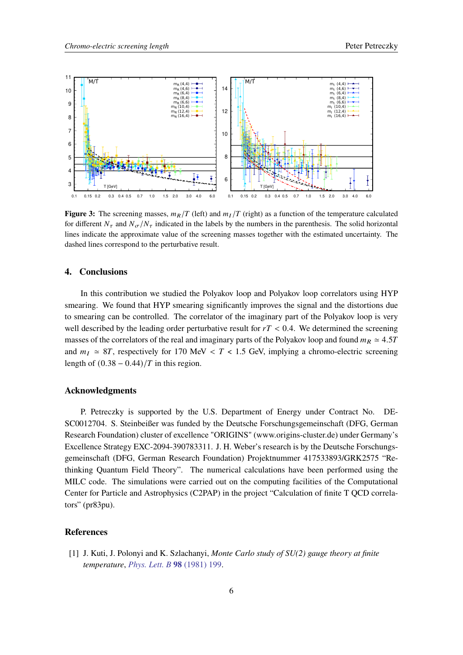<span id="page-5-1"></span>

**Figure 3:** The screening masses,  $m_R/T$  (left) and  $m_I/T$  (right) as a function of the temperature calculated for different  $N_{\tau}$  and  $N_{\sigma}/N_{\tau}$  indicated in the labels by the numbers in the parenthesis. The solid horizontal lines indicate the approximate value of the screening masses together with the estimated uncertainty. The dashed lines correspond to the perturbative result.

# **4. Conclusions**

In this contribution we studied the Polyakov loop and Polyakov loop correlators using HYP smearing. We found that HYP smearing significantly improves the signal and the distortions due to smearing can be controlled. The correlator of the imaginary part of the Polyakov loop is very well described by the leading order perturbative result for  $rT < 0.4$ . We determined the screening masses of the correlators of the real and imaginary parts of the Polyakov loop and found  $m_R \approx 4.5T$ and  $m_I \approx 8T$ , respectively for 170 MeV < T < 1.5 GeV, implying a chromo-electric screening length of  $(0.38 - 0.44)/T$  in this region.

### **Acknowledgments**

P. Petreczky is supported by the U.S. Department of Energy under Contract No. DE-SC0012704. S. Steinbeißer was funded by the Deutsche Forschungsgemeinschaft (DFG, German Research Foundation) cluster of excellence "ORIGINS" (www.origins-cluster.de) under Germany's Excellence Strategy EXC-2094-390783311. J. H. Weber's research is by the Deutsche Forschungsgemeinschaft (DFG, German Research Foundation) Projektnummer 417533893/GRK2575 "Rethinking Quantum Field Theory". The numerical calculations have been performed using the MILC code. The simulations were carried out on the computing facilities of the Computational Center for Particle and Astrophysics (C2PAP) in the project "Calculation of finite T QCD correlators" (pr83pu).

# **References**

<span id="page-5-0"></span>[1] J. Kuti, J. Polonyi and K. Szlachanyi, *Monte Carlo study of SU(2) gauge theory at finite temperature*, *[Phys. Lett. B](https://doi.org/10.1016/0370-2693(81)90987-4)* **98** (1981) 199.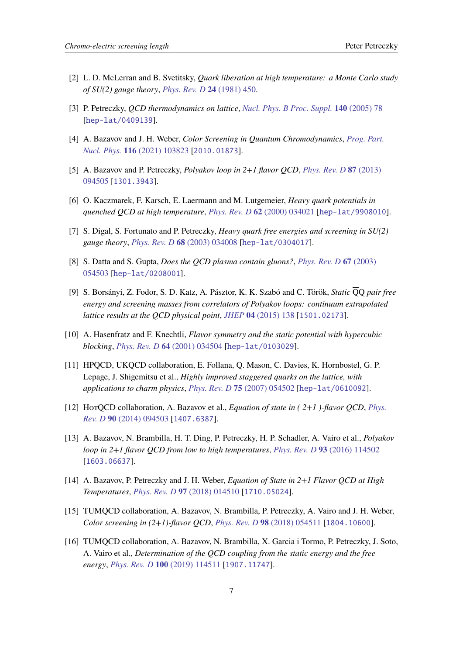- <span id="page-6-0"></span>[2] L. D. McLerran and B. Svetitsky, *Quark liberation at high temperature: a Monte Carlo study of SU(2) gauge theory*, *[Phys. Rev. D](https://doi.org/10.1103/PhysRevD.24.450)* **24** (1981) 450.
- <span id="page-6-1"></span>[3] P. Petreczky, *QCD thermodynamics on lattice*, *[Nucl. Phys. B Proc. Suppl.](https://doi.org/10.1016/j.nuclphysbps.2004.11.366)* **140** (2005) 78 [[hep-lat/0409139](https://arxiv.org/abs/hep-lat/0409139)].
- <span id="page-6-2"></span>[4] A. Bazavov and J. H. Weber, *Color Screening in Quantum Chromodynamics*, *[Prog. Part.](https://doi.org/10.1016/j.ppnp.2020.103823) Nucl. Phys.* **116** [\(2021\) 103823](https://doi.org/10.1016/j.ppnp.2020.103823) [[2010.01873](https://arxiv.org/abs/2010.01873)].
- <span id="page-6-3"></span>[5] A. Bazavov and P. Petreczky, *Polyakov loop in 2+1 flavor QCD*, *[Phys. Rev. D](https://doi.org/10.1103/PhysRevD.87.094505)* **87** (2013) [094505](https://doi.org/10.1103/PhysRevD.87.094505) [[1301.3943](https://arxiv.org/abs/1301.3943)].
- <span id="page-6-4"></span>[6] O. Kaczmarek, F. Karsch, E. Laermann and M. Lutgemeier, *Heavy quark potentials in quenched QCD at high temperature*, *[Phys. Rev. D](https://doi.org/10.1103/PhysRevD.62.034021)* **62** (2000) 034021 [[hep-lat/9908010](https://arxiv.org/abs/hep-lat/9908010)].
- [7] S. Digal, S. Fortunato and P. Petreczky, *Heavy quark free energies and screening in SU(2) gauge theory*, *[Phys. Rev. D](https://doi.org/10.1103/PhysRevD.68.034008)* **68** (2003) 034008 [[hep-lat/0304017](https://arxiv.org/abs/hep-lat/0304017)].
- <span id="page-6-5"></span>[8] S. Datta and S. Gupta, *Does the QCD plasma contain gluons?*, *[Phys. Rev. D](https://doi.org/10.1103/PhysRevD.67.054503)* **67** (2003) [054503](https://doi.org/10.1103/PhysRevD.67.054503) [[hep-lat/0208001](https://arxiv.org/abs/hep-lat/0208001)].
- <span id="page-6-6"></span>[9] S. Borsányi, Z. Fodor, S. D. Katz, A. Pásztor, K. K. Szabó and C. Török, *Static* QQ *pair free energy and screening masses from correlators of Polyakov loops: continuum extrapolated lattice results at the QCD physical point*, *JHEP* **04** [\(2015\) 138](https://doi.org/10.1007/JHEP04(2015)138) [[1501.02173](https://arxiv.org/abs/1501.02173)].
- <span id="page-6-7"></span>[10] A. Hasenfratz and F. Knechtli, *Flavor symmetry and the static potential with hypercubic blocking*, *[Phys. Rev. D](https://doi.org/10.1103/PhysRevD.64.034504)* **64** (2001) 034504 [[hep-lat/0103029](https://arxiv.org/abs/hep-lat/0103029)].
- <span id="page-6-8"></span>[11] HPQCD, UKQCD collaboration, E. Follana, Q. Mason, C. Davies, K. Hornbostel, G. P. Lepage, J. Shigemitsu et al., *Highly improved staggered quarks on the lattice, with applications to charm physics*, *[Phys. Rev. D](https://doi.org/10.1103/PhysRevD.75.054502)* **75** (2007) 054502 [[hep-lat/0610092](https://arxiv.org/abs/hep-lat/0610092)].
- <span id="page-6-9"></span>[12] HotQCD collaboration, A. Bazavov et al., *Equation of state in ( 2+1 )-flavor QCD*, *[Phys.](https://doi.org/10.1103/PhysRevD.90.094503) Rev. D* **90** [\(2014\) 094503](https://doi.org/10.1103/PhysRevD.90.094503) [[1407.6387](https://arxiv.org/abs/1407.6387)].
- <span id="page-6-11"></span>[13] A. Bazavov, N. Brambilla, H. T. Ding, P. Petreczky, H. P. Schadler, A. Vairo et al., *Polyakov loop in 2+1 flavor QCD from low to high temperatures*, *[Phys. Rev. D](https://doi.org/10.1103/PhysRevD.93.114502)* **93** (2016) 114502 [[1603.06637](https://arxiv.org/abs/1603.06637)].
- [14] A. Bazavov, P. Petreczky and J. H. Weber, *Equation of State in 2+1 Flavor QCD at High Temperatures*, *[Phys. Rev. D](https://doi.org/10.1103/PhysRevD.97.014510)* **97** (2018) 014510 [[1710.05024](https://arxiv.org/abs/1710.05024)].
- <span id="page-6-12"></span>[15] TUMQCD collaboration, A. Bazavov, N. Brambilla, P. Petreczky, A. Vairo and J. H. Weber, *Color screening in (2+1)-flavor QCD*, *[Phys. Rev. D](https://doi.org/10.1103/PhysRevD.98.054511)* **98** (2018) 054511 [[1804.10600](https://arxiv.org/abs/1804.10600)].
- <span id="page-6-10"></span>[16] TUMQCD collaboration, A. Bazavov, N. Brambilla, X. Garcia i Tormo, P. Petreczky, J. Soto, A. Vairo et al., *Determination of the QCD coupling from the static energy and the free energy*, *[Phys. Rev. D](https://doi.org/10.1103/PhysRevD.100.114511)* **100** (2019) 114511 [[1907.11747](https://arxiv.org/abs/1907.11747)].